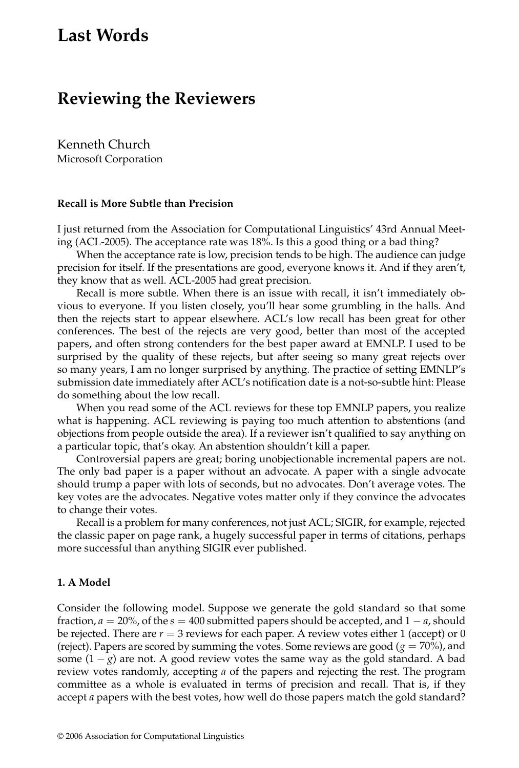# **Last Words**

## **Reviewing the Reviewers**

Kenneth Church Microsoft Corporation

#### **Recall is More Subtle than Precision**

I just returned from the Association for Computational Linguistics' 43rd Annual Meeting (ACL-2005). The acceptance rate was 18%. Is this a good thing or a bad thing?

When the acceptance rate is low, precision tends to be high. The audience can judge precision for itself. If the presentations are good, everyone knows it. And if they aren't, they know that as well. ACL-2005 had great precision.

Recall is more subtle. When there is an issue with recall, it isn't immediately obvious to everyone. If you listen closely, you'll hear some grumbling in the halls. And then the rejects start to appear elsewhere. ACL's low recall has been great for other conferences. The best of the rejects are very good, better than most of the accepted papers, and often strong contenders for the best paper award at EMNLP. I used to be surprised by the quality of these rejects, but after seeing so many great rejects over so many years, I am no longer surprised by anything. The practice of setting EMNLP's submission date immediately after ACL's notification date is a not-so-subtle hint: Please do something about the low recall.

When you read some of the ACL reviews for these top EMNLP papers, you realize what is happening. ACL reviewing is paying too much attention to abstentions (and objections from people outside the area). If a reviewer isn't qualified to say anything on a particular topic, that's okay. An abstention shouldn't kill a paper.

Controversial papers are great; boring unobjectionable incremental papers are not. The only bad paper is a paper without an advocate. A paper with a single advocate should trump a paper with lots of seconds, but no advocates. Don't average votes. The key votes are the advocates. Negative votes matter only if they convince the advocates to change their votes.

Recall is a problem for many conferences, not just ACL; SIGIR, for example, rejected the classic paper on page rank, a hugely successful paper in terms of citations, perhaps more successful than anything SIGIR ever published.

#### **1. A Model**

Consider the following model. Suppose we generate the gold standard so that some fraction,  $a = 20\%$ , of the  $s = 400$  submitted papers should be accepted, and  $1 - a$ , should be rejected. There are  $r = 3$  reviews for each paper. A review votes either 1 (accept) or 0 (reject). Papers are scored by summing the votes. Some reviews are good ( $g = 70\%$ ), and some  $(1 - g)$  are not. A good review votes the same way as the gold standard. A bad review votes randomly, accepting *a* of the papers and rejecting the rest. The program committee as a whole is evaluated in terms of precision and recall. That is, if they accept *a* papers with the best votes, how well do those papers match the gold standard?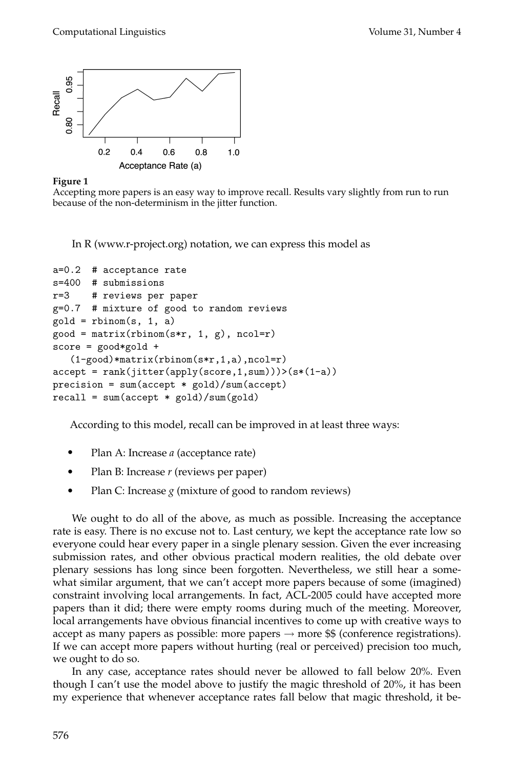



Accepting more papers is an easy way to improve recall. Results vary slightly from run to run because of the non-determinism in the jitter function.

In R (www.r-project.org) notation, we can express this model as

```
a=0.2 # acceptance rate
s=400 # submissions
r=3 # reviews per paper
g=0.7 # mixture of good to random reviews
gold = rhinom(s, 1, a)good = matrix(rbinom(s*r, 1, g), ncol=r)score = good*gold +
   (1-good)*matrix(rbinom(s*r,1,a),ncol=r)
accept = rank(jitter(apply(score, 1, sum)))>(s*(1-a))precision = sum(accept * gold)/sum(accept)
recall = sum(accept * gold)/sum(gold)
```
According to this model, recall can be improved in at least three ways:

- Plan A: Increase *a* (acceptance rate)
- Plan B: Increase *r* (reviews per paper)
- Plan C: Increase *g* (mixture of good to random reviews)

We ought to do all of the above, as much as possible. Increasing the acceptance rate is easy. There is no excuse not to. Last century, we kept the acceptance rate low so everyone could hear every paper in a single plenary session. Given the ever increasing submission rates, and other obvious practical modern realities, the old debate over plenary sessions has long since been forgotten. Nevertheless, we still hear a somewhat similar argument, that we can't accept more papers because of some (imagined) constraint involving local arrangements. In fact, ACL-2005 could have accepted more papers than it did; there were empty rooms during much of the meeting. Moreover, local arrangements have obvious financial incentives to come up with creative ways to accept as many papers as possible: more papers  $\rightarrow$  more \$\$ (conference registrations). If we can accept more papers without hurting (real or perceived) precision too much, we ought to do so.

In any case, acceptance rates should never be allowed to fall below 20%. Even though I can't use the model above to justify the magic threshold of 20%, it has been my experience that whenever acceptance rates fall below that magic threshold, it be-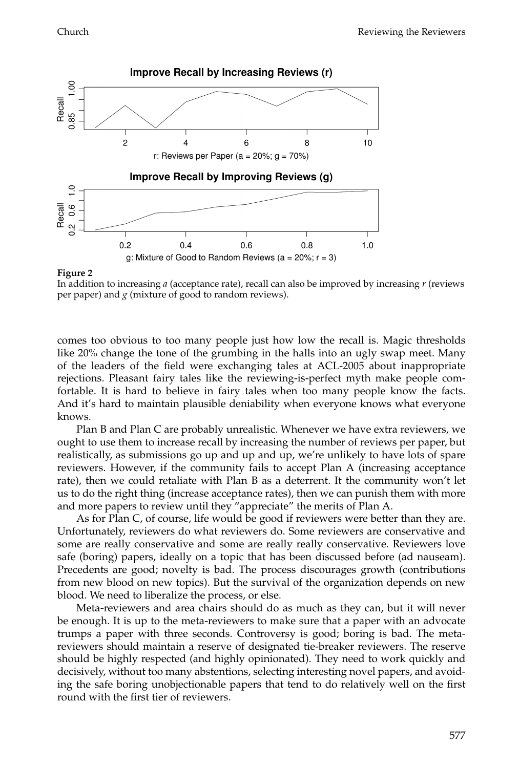

#### **Figure 2**



comes too obvious to too many people just how low the recall is. Magic thresholds like 20% change the tone of the grumbing in the halls into an ugly swap meet. Many of the leaders of the field were exchanging tales at ACL-2005 about inappropriate rejections. Pleasant fairy tales like the reviewing-is-perfect myth make people comfortable. It is hard to believe in fairy tales when too many people know the facts. And it's hard to maintain plausible deniability when everyone knows what everyone knows.

Plan B and Plan C are probably unrealistic. Whenever we have extra reviewers, we ought to use them to increase recall by increasing the number of reviews per paper, but realistically, as submissions go up and up and up, we're unlikely to have lots of spare reviewers. However, if the community fails to accept Plan A (increasing acceptance rate), then we could retaliate with Plan B as a deterrent. It the community won't let us to do the right thing (increase acceptance rates), then we can punish them with more and more papers to review until they "appreciate" the merits of Plan A.

As for Plan C, of course, life would be good if reviewers were better than they are. Unfortunately, reviewers do what reviewers do. Some reviewers are conservative and some are really conservative and some are really really conservative. Reviewers love safe (boring) papers, ideally on a topic that has been discussed before (ad nauseam). Precedents are good; novelty is bad. The process discourages growth (contributions from new blood on new topics). But the survival of the organization depends on new blood. We need to liberalize the process, or else.

Meta-reviewers and area chairs should do as much as they can, but it will never be enough. It is up to the meta-reviewers to make sure that a paper with an advocate trumps a paper with three seconds. Controversy is good; boring is bad. The metareviewers should maintain a reserve of designated tie-breaker reviewers. The reserve should be highly respected (and highly opinionated). They need to work quickly and decisively, without too many abstentions, selecting interesting novel papers, and avoiding the safe boring unobjectionable papers that tend to do relatively well on the first round with the first tier of reviewers.